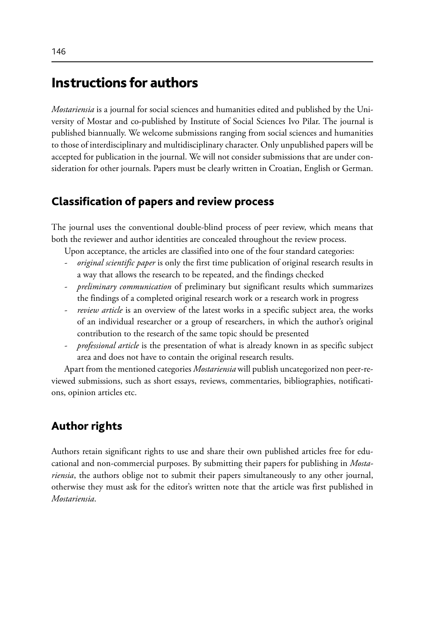# Instructions for authors

*Mostariensia* is a journal for social sciences and humanities edited and published by the University of Mostar and co-published by Institute of Social Sciences Ivo Pilar. The journal is published biannually. We welcome submissions ranging from social sciences and humanities to those of interdisciplinary and multidisciplinary character. Only unpublished papers will be accepted for publication in the journal. We will not consider submissions that are under consideration for other journals. Papers must be clearly written in Croatian, English or German.

## Classification of papers and review process

The journal uses the conventional double-blind process of peer review, which means that both the reviewer and author identities are concealed throughout the review process.

Upon acceptance, the articles are classified into one of the four standard categories:

- *- original scientific paper* is only the first time publication of original research results in a way that allows the research to be repeated, and the findings checked
- *- preliminary communication* of preliminary but significant results which summarizes the findings of a completed original research work or a research work in progress
- *review article* is an overview of the latest works in a specific subject area, the works of an individual researcher or a group of researchers, in which the author's original contribution to the research of the same topic should be presented
- *- professional article* is the presentation of what is already known in as specific subject area and does not have to contain the original research results.

Apart from the mentioned categories *Mostariensia* will publish uncategorized non peer-reviewed submissions, such as short essays, reviews, commentaries, bibliographies, notifications, opinion articles etc.

## Author rights

Authors retain significant rights to use and share their own published articles free for educational and non-commercial purposes. By submitting their papers for publishing in *Mostariensia*, the authors oblige not to submit their papers simultaneously to any other journal, otherwise they must ask for the editor's written note that the article was first published in *Mostariensia*.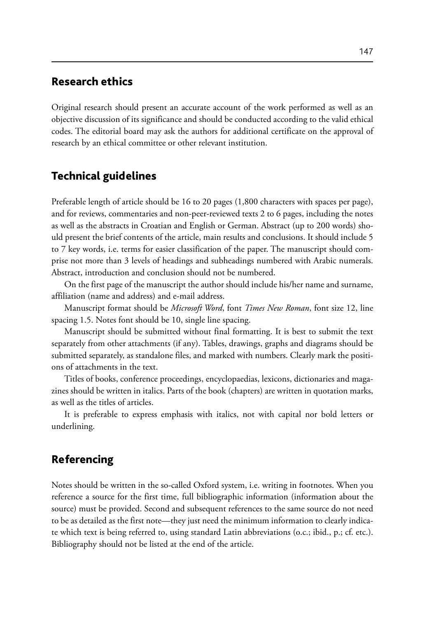## Research ethics

Original research should present an accurate account of the work performed as well as an objective discussion of its significance and should be conducted according to the valid ethical codes. The editorial board may ask the authors for additional certificate on the approval of research by an ethical committee or other relevant institution.

#### Technical guidelines

Preferable length of article should be 16 to 20 pages (1,800 characters with spaces per page), and for reviews, commentaries and non-peer-reviewed texts 2 to 6 pages, including the notes as well as the abstracts in Croatian and English or German. Abstract (up to 200 words) should present the brief contents of the article, main results and conclusions. It should include 5 to 7 key words, i.e. terms for easier classification of the paper. The manuscript should comprise not more than 3 levels of headings and subheadings numbered with Arabic numerals. Abstract, introduction and conclusion should not be numbered.

On the first page of the manuscript the author should include his/her name and surname, affiliation (name and address) and e-mail address.

Manuscript format should be *Microsoft Word*, font *Times New Roman*, font size 12, line spacing 1.5. Notes font should be 10, single line spacing.

Manuscript should be submitted without final formatting. It is best to submit the text separately from other attachments (if any). Tables, drawings, graphs and diagrams should be submitted separately, as standalone files, and marked with numbers. Clearly mark the positions of attachments in the text.

Titles of books, conference proceedings, encyclopaedias, lexicons, dictionaries and magazines should be written in italics. Parts of the book (chapters) are written in quotation marks, as well as the titles of articles.

It is preferable to express emphasis with italics, not with capital nor bold letters or underlining.

### Referencing

Notes should be written in the so-called Oxford system, i.e. writing in footnotes. When you reference a source for the first time, full bibliographic information (information about the source) must be provided. Second and subsequent references to the same source do not need to be as detailed as the first note—they just need the minimum information to clearly indicate which text is being referred to, using standard Latin abbreviations (o.c.; ibid., p.; cf. etc.). Bibliography should not be listed at the end of the article.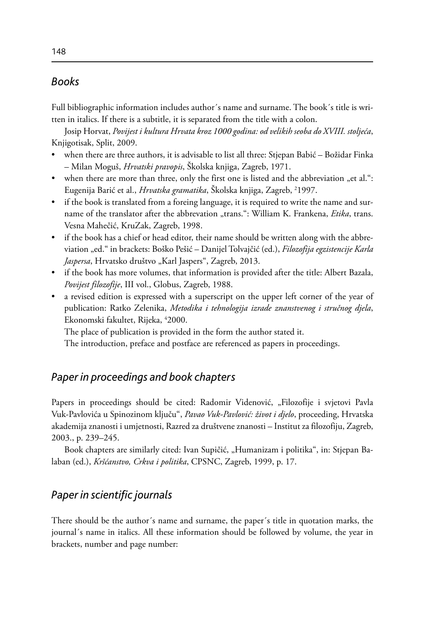#### *Books*

Full bibliographic information includes author´s name and surname. The book´s title is written in italics. If there is a subtitle, it is separated from the title with a colon.

Josip Horvat, *Povijest i kultura Hrvata kroz 1000 godina: od velikih seoba do XVIII. stoljeća*, Knjigotisak, Split, 2009.

- when there are three authors, it is advisable to list all three: Stjepan Babić Božidar Finka – Milan Moguš, *Hrvatski pravopis*, Školska knjiga, Zagreb, 1971.
- when there are more than three, only the first one is listed and the abbreviation "et al.": Eugenija Barić et al., *Hrvatska gramatika*, Skolska knjiga, Zagreb, <sup>2</sup>1997.
- if the book is translated from a foreing language, it is required to write the name and surname of the translator after the abbrevation "trans.": William K. Frankena, *Etika*, trans. Vesna Mahečić, KruZak, Zagreb, 1998.
- if the book has a chief or head editor, their name should be written along with the abbreviation "ed." in brackets: Boško Pešić – Danijel Tolvajčić (ed.), *Filozofija egzistencije Karla Jaspersa*, Hrvatsko društvo "Karl Jaspers", Zagreb, 2013.
- • if the book has more volumes, that information is provided after the title: Albert Bazala, *Povijest filozofije*, III vol., Globus, Zagreb, 1988.
- a revised edition is expressed with a superscript on the upper left corner of the year of publication: Ratko Zelenika, *Metodika i tehnologija izrade znanstvenog i stručnog djela*, Ekonomski fakultet, Rijeka, 4 2000.

The place of publication is provided in the form the author stated it.

The introduction, preface and postface are referenced as papers in proceedings.

## *Paper in proceedings and book chapters*

Papers in proceedings should be cited: Radomir Videnović, "Filozofije i svjetovi Pavla Vuk-Pavlovića u Spinozinom ključu", *Pavao Vuk-Pavlović: život i djelo*, proceeding, Hrvatska akademija znanosti i umjetnosti, Razred za društvene znanosti – Institut za filozofiju, Zagreb, 2003., p. 239–245.

Book chapters are similarly cited: Ivan Supičić, "Humanizam i politika", in: Stjepan Balaban (ed.), *Kršćanstvo, Crkva i politika*, CPSNC, Zagreb, 1999, p. 17.

#### *Paper in scientific journals*

There should be the author´s name and surname, the paper´s title in quotation marks, the journal´s name in italics. All these information should be followed by volume, the year in brackets, number and page number: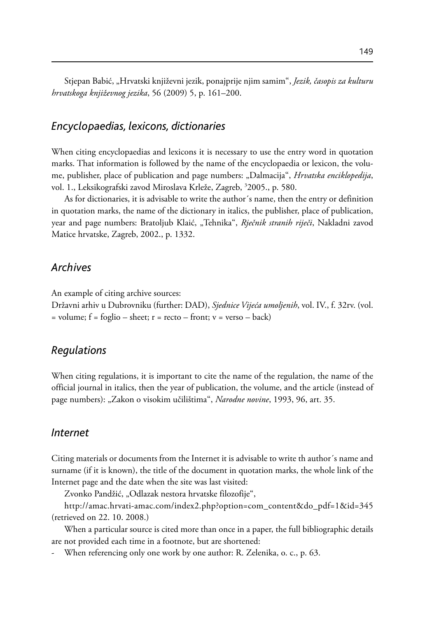Stjepan Babić, "Hrvatski književni jezik, ponajprije njim samim", *Jezik, časopis za kulturu hrvatskoga književnog jezika*, 56 (2009) 5, p. 161–200.

#### *Encyclopaedias, lexicons, dictionaries*

When citing encyclopaedias and lexicons it is necessary to use the entry word in quotation marks. That information is followed by the name of the encyclopaedia or lexicon, the volume, publisher, place of publication and page numbers: "Dalmacija", *Hrvatska enciklopedija*, vol. 1., Leksikografski zavod Miroslava Krleže, Zagreb, 3 2005., p. 580.

As for dictionaries, it is advisable to write the author´s name, then the entry or definition in quotation marks, the name of the dictionary in italics, the publisher, place of publication, year and page numbers: Bratoljub Klaić, "Tehnika", *Rječnik stranih riječi*, Nakladni zavod Matice hrvatske, Zagreb, 2002., p. 1332.

#### *Archives*

An example of citing archive sources:

Državni arhiv u Dubrovniku (further: DAD), *Sjednice Vijeća umoljenih*, vol. IV., f. 32rv. (vol.  $=$  volume;  $f = f \circ g$ lio – sheet;  $r =$  recto – front;  $v =$  verso – back)

#### *Regulations*

When citing regulations, it is important to cite the name of the regulation, the name of the official journal in italics, then the year of publication, the volume, and the article (instead of page numbers): "Zakon o visokim učilištima", *Narodne novine*, 1993, 96, art. 35.

#### *Internet*

Citing materials or documents from the Internet it is advisable to write th author´s name and surname (if it is known), the title of the document in quotation marks, the whole link of the Internet page and the date when the site was last visited:

Zvonko Pandžić, "Odlazak nestora hrvatske filozofije",

http://amac.hrvati-amac.com/index2.php?option=com\_content&do\_pdf=1&id=345 (retrieved on 22. 10. 2008.)

When a particular source is cited more than once in a paper, the full bibliographic details are not provided each time in a footnote, but are shortened:

When referencing only one work by one author: R. Zelenika, o. c., p. 63.